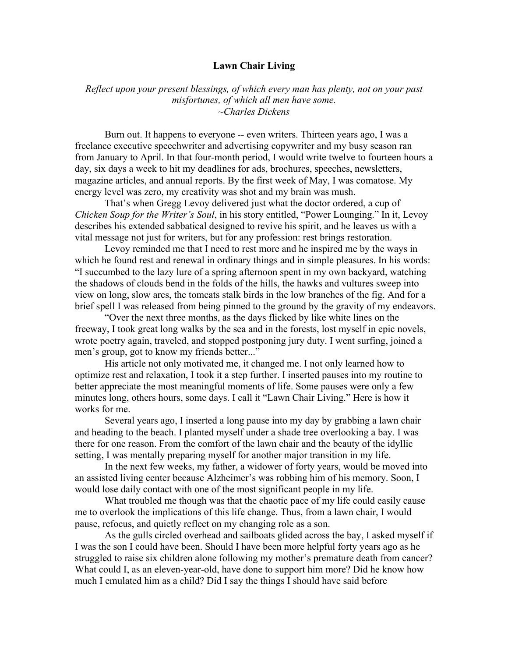## **Lawn Chair Living**

*Reflect upon your present blessings, of which every man has plenty, not on your past misfortunes, of which all men have some. ~Charles Dickens*

Burn out. It happens to everyone -- even writers. Thirteen years ago, I was a freelance executive speechwriter and advertising copywriter and my busy season ran from January to April. In that four-month period, I would write twelve to fourteen hours a day, six days a week to hit my deadlines for ads, brochures, speeches, newsletters, magazine articles, and annual reports. By the first week of May, I was comatose. My energy level was zero, my creativity was shot and my brain was mush.

That's when Gregg Levoy delivered just what the doctor ordered, a cup of *Chicken Soup for the Writer's Soul*, in his story entitled, "Power Lounging." In it, Levoy describes his extended sabbatical designed to revive his spirit, and he leaves us with a vital message not just for writers, but for any profession: rest brings restoration.

Levoy reminded me that I need to rest more and he inspired me by the ways in which he found rest and renewal in ordinary things and in simple pleasures. In his words: "I succumbed to the lazy lure of a spring afternoon spent in my own backyard, watching the shadows of clouds bend in the folds of the hills, the hawks and vultures sweep into view on long, slow arcs, the tomcats stalk birds in the low branches of the fig. And for a brief spell I was released from being pinned to the ground by the gravity of my endeavors.

"Over the next three months, as the days flicked by like white lines on the freeway, I took great long walks by the sea and in the forests, lost myself in epic novels, wrote poetry again, traveled, and stopped postponing jury duty. I went surfing, joined a men's group, got to know my friends better..."

His article not only motivated me, it changed me. I not only learned how to optimize rest and relaxation, I took it a step further. I inserted pauses into my routine to better appreciate the most meaningful moments of life. Some pauses were only a few minutes long, others hours, some days. I call it "Lawn Chair Living." Here is how it works for me.

Several years ago, I inserted a long pause into my day by grabbing a lawn chair and heading to the beach. I planted myself under a shade tree overlooking a bay. I was there for one reason. From the comfort of the lawn chair and the beauty of the idyllic setting, I was mentally preparing myself for another major transition in my life.

In the next few weeks, my father, a widower of forty years, would be moved into an assisted living center because Alzheimer's was robbing him of his memory. Soon, I would lose daily contact with one of the most significant people in my life.

What troubled me though was that the chaotic pace of my life could easily cause me to overlook the implications of this life change. Thus, from a lawn chair, I would pause, refocus, and quietly reflect on my changing role as a son.

As the gulls circled overhead and sailboats glided across the bay, I asked myself if I was the son I could have been. Should I have been more helpful forty years ago as he struggled to raise six children alone following my mother's premature death from cancer? What could I, as an eleven-year-old, have done to support him more? Did he know how much I emulated him as a child? Did I say the things I should have said before